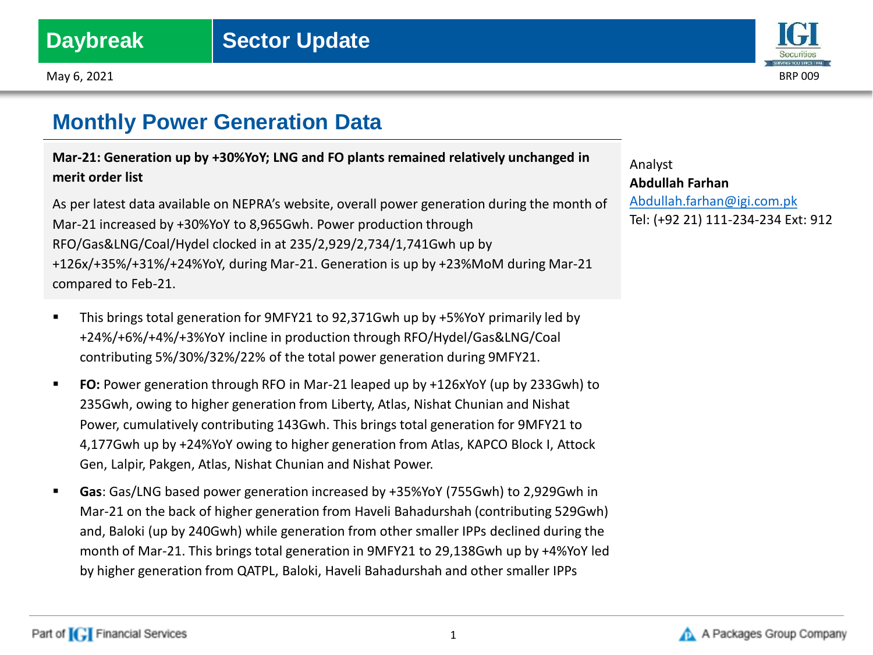May 6, 2021 BRP 009



# **Monthly Power Generation Data**

**Mar-21: Generation up by +30%YoY; LNG and FO plants remained relatively unchanged in merit order list**

As per latest data available on NEPRA's website, overall power generation during the month of Mar-21 increased by +30%YoY to 8,965Gwh. Power production through RFO/Gas&LNG/Coal/Hydel clocked in at 235/2,929/2,734/1,741Gwh up by +126x/+35%/+31%/+24%YoY, during Mar-21. Generation is up by +23%MoM during Mar-21 compared to Feb-21.

- This brings total generation for 9MFY21 to 92,371Gwh up by +5%YoY primarily led by +24%/+6%/+4%/+3%YoY incline in production through RFO/Hydel/Gas&LNG/Coal contributing 5%/30%/32%/22% of the total power generation during 9MFY21.
- **FO:** Power generation through RFO in Mar-21 leaped up by +126xYoY (up by 233Gwh) to 235Gwh, owing to higher generation from Liberty, Atlas, Nishat Chunian and Nishat Power, cumulatively contributing 143Gwh. This brings total generation for 9MFY21 to 4,177Gwh up by +24%YoY owing to higher generation from Atlas, KAPCO Block I, Attock Gen, Lalpir, Pakgen, Atlas, Nishat Chunian and Nishat Power.
- **Gas**: Gas/LNG based power generation increased by +35%YoY (755Gwh) to 2,929Gwh in Mar-21 on the back of higher generation from Haveli Bahadurshah (contributing 529Gwh) and, Baloki (up by 240Gwh) while generation from other smaller IPPs declined during the month of Mar-21. This brings total generation in 9MFY21 to 29,138Gwh up by +4%YoY led by higher generation from QATPL, Baloki, Haveli Bahadurshah and other smaller IPPs

Analyst **Abdullah Farhan** [Abdullah.farhan@igi.com.pk](mailto:Shumail.rauf@igi.com.pk) Tel: (+92 21) 111-234-234 Ext: 912

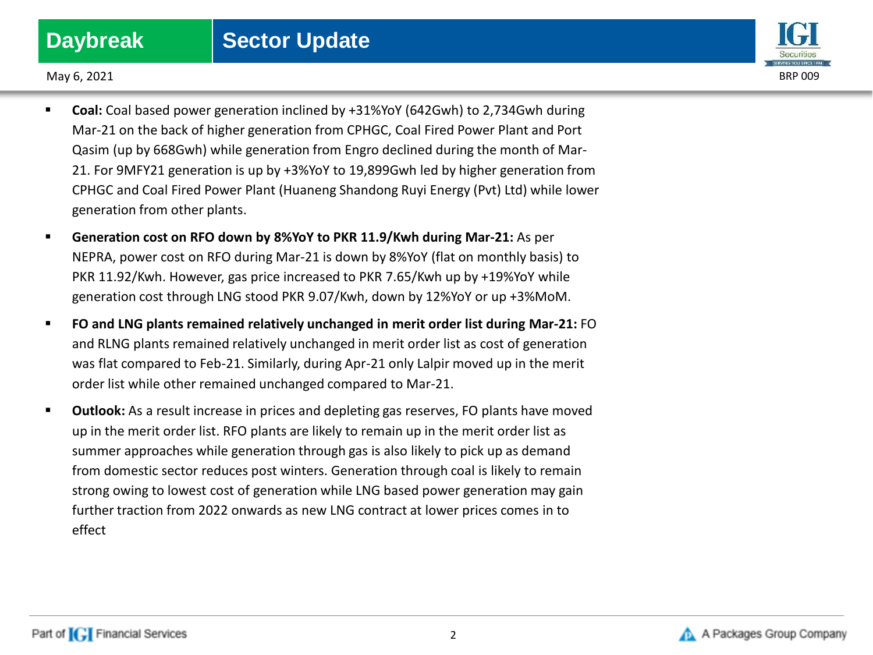

May 6, 2021 BRP 009

- **Coal:** Coal based power generation inclined by +31%YoY (642Gwh) to 2,734Gwh during Mar-21 on the back of higher generation from CPHGC, Coal Fired Power Plant and Port Qasim (up by 668Gwh) while generation from Engro declined during the month of Mar-21. For 9MFY21 generation is up by +3%YoY to 19,899Gwh led by higher generation from CPHGC and Coal Fired Power Plant (Huaneng Shandong Ruyi Energy (Pvt) Ltd) while lower generation from other plants.
- **Generation cost on RFO down by 8%YoY to PKR 11.9/Kwh during Mar-21:** As per NEPRA, power cost on RFO during Mar-21 is down by 8%YoY (flat on monthly basis) to PKR 11.92/Kwh. However, gas price increased to PKR 7.65/Kwh up by +19%YoY while generation cost through LNG stood PKR 9.07/Kwh, down by 12%YoY or up +3%MoM.
- **FO and LNG plants remained relatively unchanged in merit order list during Mar-21:** FO and RLNG plants remained relatively unchanged in merit order list as cost of generation was flat compared to Feb-21. Similarly, during Apr-21 only Lalpir moved up in the merit order list while other remained unchanged compared to Mar-21.
- **Outlook:** As a result increase in prices and depleting gas reserves, FO plants have moved up in the merit order list. RFO plants are likely to remain up in the merit order list as summer approaches while generation through gas is also likely to pick up as demand from domestic sector reduces post winters. Generation through coal is likely to remain strong owing to lowest cost of generation while LNG based power generation may gain further traction from 2022 onwards as new LNG contract at lower prices comes in to effect

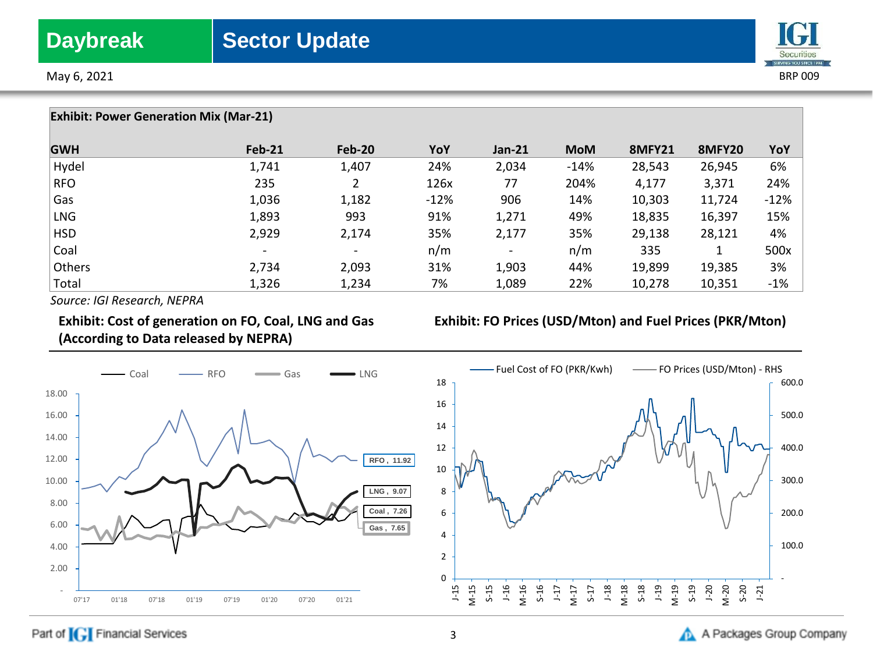



**Exhibit: Power Generation Mix (Mar-21) GWH Feb-21 Feb-20 YoY Jan-21 MoM 8MFY21 8MFY20 YoY**  Hydel 1,741 1,407 24% 2,034 -14% 28,543 26,945 6% RFO 235 2 126x 77 204% 4,177 3,371 24% Gas 1,036 1,182 -12% 906 14% 10,303 11,724 -12% LNG 1,893 993 91% 1,271 49% 18,835 16,397 15% HSD 2,929 2,174 35% 2,177 35% 29,138 28,121 4% Coal - - n/m - n/m 335 1 500x Others 2,734 2,093 31% 1,903 44% 19,899 19,385 3% Total 1,326 1,234 7% 1,089 22% 10,278 10,351 -1%

*Source: IGI Research, NEPRA*

## **Exhibit: Cost of generation on FO, Coal, LNG and Gas (According to Data released by NEPRA)**

## **Exhibit: FO Prices (USD/Mton) and Fuel Prices (PKR/Mton)**



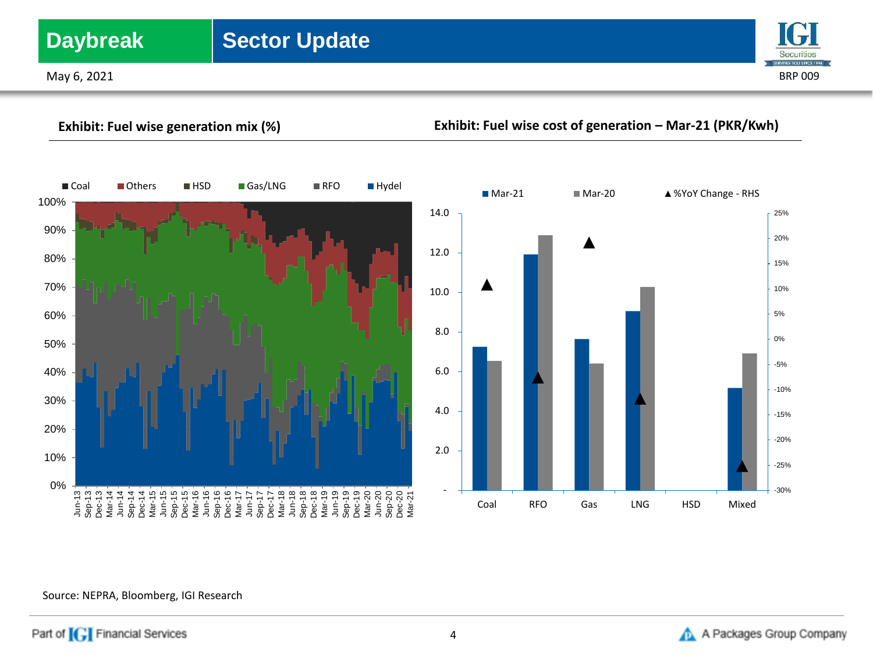# **Daybreak** Sector Update

May 6, 2021 BRP 009



**Exhibit: Fuel wise generation mix (%) Exhibit: Fuel wise cost of generation – Mar-21 (PKR/Kwh)** 0% 10% 20% 30% 40% 50% 60% 70% 80% 90% 100% Jun-13 Sep-13 Dec-13 Mar-14 Jun-14 Sep-14 Dec-14 Mar-15 Jun-15 Sep-15 Dec-15 Mar-16 Jun-16 Sep-16 Dec-16 Mar-17 Jun-17 Sep-17 Dec-17 Mar-18 Jun-18 Sep-18 Dec-18 Mar-19 Jun-19 Sep-19 Dec-19 Mar-20 Jun-20 Sep-20 Dec-20 Mar-21 ■Coal ■Others ■HSD ■Gas/LNG ■RFO ■Hydel -30% -25% -20% -15% -10% -5% 0% 5% 10% 15% 20% 25% - 2.0 4.0 6.0 8.0 10.0 12.0 14.0 Coal RFO Gas LNG HSD Mixed ■ Mar-21 Mar-20 ▲ %YoY Change - RHS

## Source: NEPRA, Bloomberg, IGI Research

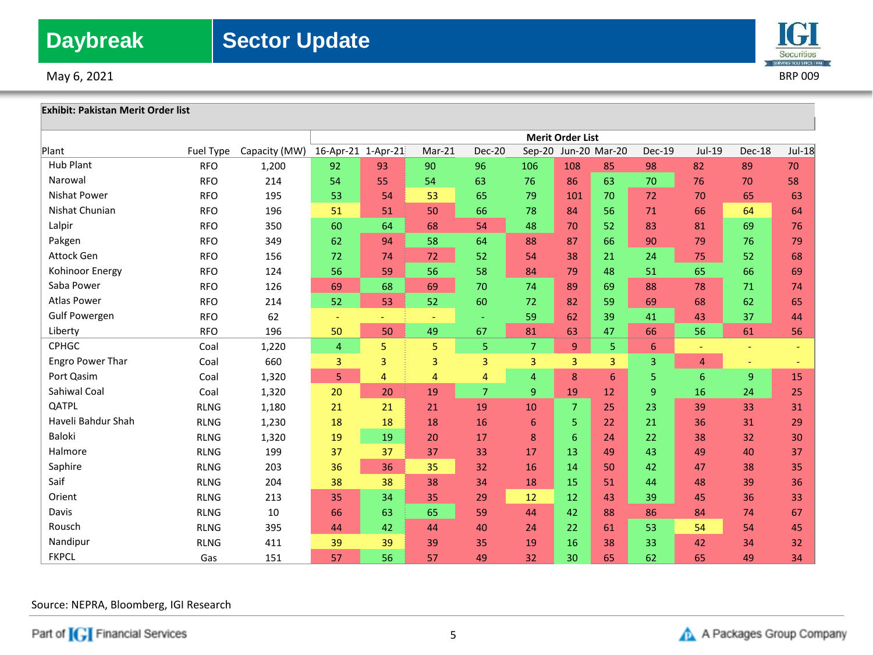



## **Exhibit: Pakistan Merit Order list**

|                      |             |               | <b>Merit Order List</b>  |    |        |                |                |                |                      |                |                |        |        |
|----------------------|-------------|---------------|--------------------------|----|--------|----------------|----------------|----------------|----------------------|----------------|----------------|--------|--------|
| Plant                | Fuel Type   | Capacity (MW) | 16-Apr-21 1-Apr-21       |    | Mar-21 | <b>Dec-20</b>  |                |                | Sep-20 Jun-20 Mar-20 | <b>Dec-19</b>  | Jul-19         | Dec-18 | Jul-18 |
| <b>Hub Plant</b>     | <b>RFO</b>  | 1,200         | 92                       | 93 | 90     | 96             | 106            | 108            | 85                   | 98             | 82             | 89     | 70     |
| Narowal              | <b>RFO</b>  | 214           | 54                       | 55 | 54     | 63             | 76             | 86             | 63                   | 70             | 76             | 70     | 58     |
| <b>Nishat Power</b>  | <b>RFO</b>  | 195           | 53                       | 54 | 53     | 65             | 79             | 101            | 70                   | 72             | 70             | 65     | 63     |
| Nishat Chunian       | <b>RFO</b>  | 196           | 51                       | 51 | 50     | 66             | 78             | 84             | 56                   | 71             | 66             | 64     | 64     |
| Lalpir               | <b>RFO</b>  | 350           | 60                       | 64 | 68     | 54             | 48             | 70             | 52                   | 83             | 81             | 69     | 76     |
| Pakgen               | <b>RFO</b>  | 349           | 62                       | 94 | 58     | 64             | 88             | 87             | 66                   | 90             | 79             | 76     | 79     |
| Attock Gen           | <b>RFO</b>  | 156           | 72                       | 74 | 72     | 52             | 54             | 38             | 21                   | 24             | 75             | 52     | 68     |
| Kohinoor Energy      | <b>RFO</b>  | 124           | 56                       | 59 | 56     | 58             | 84             | 79             | 48                   | 51             | 65             | 66     | 69     |
| Saba Power           | <b>RFO</b>  | 126           | 69                       | 68 | 69     | 70             | 74             | 89             | 69                   | 88             | 78             | 71     | 74     |
| <b>Atlas Power</b>   | <b>RFO</b>  | 214           | 52                       | 53 | 52     | 60             | 72             | 82             | 59                   | 69             | 68             | 62     | 65     |
| <b>Gulf Powergen</b> | <b>RFO</b>  | 62            | $\overline{\phantom{a}}$ | ٠  |        | $\sim$         | 59             | 62             | 39                   | 41             | 43             | 37     | 44     |
| Liberty              | <b>RFO</b>  | 196           | 50                       | 50 | 49     | 67             | 81             | 63             | 47                   | 66             | 56             | 61     | 56     |
| <b>CPHGC</b>         | Coal        | 1,220         | $\overline{4}$           | 5  | 5      | 5              | $\overline{7}$ | 9              | 5                    | 6              |                |        |        |
| Engro Power Thar     | Coal        | 660           | 3                        | 3  | 3      | 3              | 3              | $\overline{3}$ | 3                    | $\overline{3}$ | $\overline{4}$ | $\sim$ |        |
| Port Qasim           | Coal        | 1,320         | 5                        | 4  | 4      | 4              | $\overline{4}$ | 8              | 6                    | 5              | 6              | 9      | 15     |
| Sahiwal Coal         | Coal        | 1,320         | 20                       | 20 | 19     | $\overline{7}$ | $\overline{9}$ | 19             | 12                   | 9              | 16             | 24     | 25     |
| QATPL                | <b>RLNG</b> | 1,180         | 21                       | 21 | 21     | 19             | 10             | $\overline{7}$ | 25                   | 23             | 39             | 33     | 31     |
| Haveli Bahdur Shah   | <b>RLNG</b> | 1,230         | 18                       | 18 | 18     | 16             | 6              | 5              | 22                   | 21             | 36             | 31     | 29     |
| <b>Baloki</b>        | <b>RLNG</b> | 1,320         | 19                       | 19 | 20     | 17             | 8              | 6              | 24                   | 22             | 38             | 32     | 30     |
| Halmore              | <b>RLNG</b> | 199           | 37                       | 37 | 37     | 33             | 17             | 13             | 49                   | 43             | 49             | 40     | 37     |
| Saphire              | <b>RLNG</b> | 203           | 36                       | 36 | 35     | 32             | 16             | 14             | 50                   | 42             | 47             | 38     | 35     |
| Saif                 | <b>RLNG</b> | 204           | 38                       | 38 | 38     | 34             | 18             | 15             | 51                   | 44             | 48             | 39     | 36     |
| Orient               | <b>RLNG</b> | 213           | 35                       | 34 | 35     | 29             | 12             | 12             | 43                   | 39             | 45             | 36     | 33     |
| Davis                | <b>RLNG</b> | 10            | 66                       | 63 | 65     | 59             | 44             | 42             | 88                   | 86             | 84             | 74     | 67     |
| Rousch               | <b>RLNG</b> | 395           | 44                       | 42 | 44     | 40             | 24             | 22             | 61                   | 53             | 54             | 54     | 45     |
| Nandipur             | <b>RLNG</b> | 411           | 39                       | 39 | 39     | 35             | 19             | 16             | 38                   | 33             | 42             | 34     | 32     |
| <b>FKPCL</b>         | Gas         | 151           | 57                       | 56 | 57     | 49             | 32             | 30             | 65                   | 62             | 65             | 49     | 34     |

Source: NEPRA, Bloomberg, IGI Research

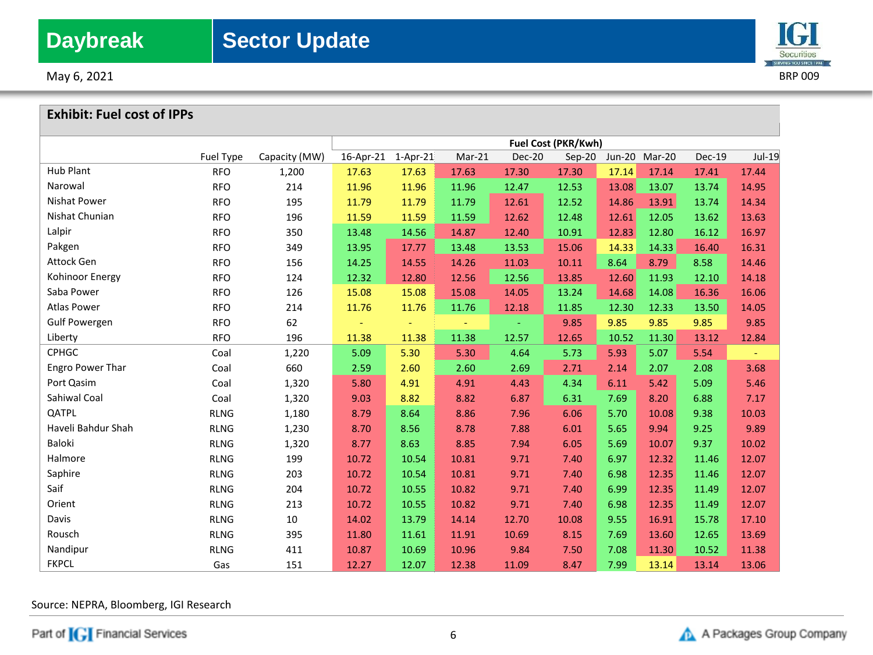

May 6, 2021 BRP 009

## **Exhibit: Fuel cost of IPPs**

|                         |                  |               | Fuel Cost (PKR/Kwh) |            |          |               |          |       |               |        |        |
|-------------------------|------------------|---------------|---------------------|------------|----------|---------------|----------|-------|---------------|--------|--------|
|                         | <b>Fuel Type</b> | Capacity (MW) | 16-Apr-21           | $1-Apr-21$ | $Mar-21$ | <b>Dec-20</b> | $Sep-20$ |       | Jun-20 Mar-20 | Dec-19 | Jul-19 |
| <b>Hub Plant</b>        | <b>RFO</b>       | 1,200         | 17.63               | 17.63      | 17.63    | 17.30         | 17.30    | 17.14 | 17.14         | 17.41  | 17.44  |
| Narowal                 | <b>RFO</b>       | 214           | 11.96               | 11.96      | 11.96    | 12.47         | 12.53    | 13.08 | 13.07         | 13.74  | 14.95  |
| Nishat Power            | <b>RFO</b>       | 195           | 11.79               | 11.79      | 11.79    | 12.61         | 12.52    | 14.86 | 13.91         | 13.74  | 14.34  |
| Nishat Chunian          | <b>RFO</b>       | 196           | 11.59               | 11.59      | 11.59    | 12.62         | 12.48    | 12.61 | 12.05         | 13.62  | 13.63  |
| Lalpir                  | <b>RFO</b>       | 350           | 13.48               | 14.56      | 14.87    | 12.40         | 10.91    | 12.83 | 12.80         | 16.12  | 16.97  |
| Pakgen                  | <b>RFO</b>       | 349           | 13.95               | 17.77      | 13.48    | 13.53         | 15.06    | 14.33 | 14.33         | 16.40  | 16.31  |
| Attock Gen              | <b>RFO</b>       | 156           | 14.25               | 14.55      | 14.26    | 11.03         | 10.11    | 8.64  | 8.79          | 8.58   | 14.46  |
| Kohinoor Energy         | <b>RFO</b>       | 124           | 12.32               | 12.80      | 12.56    | 12.56         | 13.85    | 12.60 | 11.93         | 12.10  | 14.18  |
| Saba Power              | <b>RFO</b>       | 126           | 15.08               | 15.08      | 15.08    | 14.05         | 13.24    | 14.68 | 14.08         | 16.36  | 16.06  |
| <b>Atlas Power</b>      | <b>RFO</b>       | 214           | 11.76               | 11.76      | 11.76    | 12.18         | 11.85    | 12.30 | 12.33         | 13.50  | 14.05  |
| <b>Gulf Powergen</b>    | <b>RFO</b>       | 62            |                     |            |          |               | 9.85     | 9.85  | 9.85          | 9.85   | 9.85   |
| Liberty                 | <b>RFO</b>       | 196           | 11.38               | 11.38      | 11.38    | 12.57         | 12.65    | 10.52 | 11.30         | 13.12  | 12.84  |
| <b>CPHGC</b>            | Coal             | 1,220         | 5.09                | 5.30       | 5.30     | 4.64          | 5.73     | 5.93  | 5.07          | 5.54   | Ξ      |
| <b>Engro Power Thar</b> | Coal             | 660           | 2.59                | 2.60       | 2.60     | 2.69          | 2.71     | 2.14  | 2.07          | 2.08   | 3.68   |
| Port Qasim              | Coal             | 1,320         | 5.80                | 4.91       | 4.91     | 4.43          | 4.34     | 6.11  | 5.42          | 5.09   | 5.46   |
| Sahiwal Coal            | Coal             | 1,320         | 9.03                | 8.82       | 8.82     | 6.87          | 6.31     | 7.69  | 8.20          | 6.88   | 7.17   |
| QATPL                   | <b>RLNG</b>      | 1,180         | 8.79                | 8.64       | 8.86     | 7.96          | 6.06     | 5.70  | 10.08         | 9.38   | 10.03  |
| Haveli Bahdur Shah      | <b>RLNG</b>      | 1,230         | 8.70                | 8.56       | 8.78     | 7.88          | 6.01     | 5.65  | 9.94          | 9.25   | 9.89   |
| Baloki                  | <b>RLNG</b>      | 1,320         | 8.77                | 8.63       | 8.85     | 7.94          | 6.05     | 5.69  | 10.07         | 9.37   | 10.02  |
| Halmore                 | <b>RLNG</b>      | 199           | 10.72               | 10.54      | 10.81    | 9.71          | 7.40     | 6.97  | 12.32         | 11.46  | 12.07  |
| Saphire                 | <b>RLNG</b>      | 203           | 10.72               | 10.54      | 10.81    | 9.71          | 7.40     | 6.98  | 12.35         | 11.46  | 12.07  |
| Saif                    | <b>RLNG</b>      | 204           | 10.72               | 10.55      | 10.82    | 9.71          | 7.40     | 6.99  | 12.35         | 11.49  | 12.07  |
| Orient                  | <b>RLNG</b>      | 213           | 10.72               | 10.55      | 10.82    | 9.71          | 7.40     | 6.98  | 12.35         | 11.49  | 12.07  |
| Davis                   | <b>RLNG</b>      | 10            | 14.02               | 13.79      | 14.14    | 12.70         | 10.08    | 9.55  | 16.91         | 15.78  | 17.10  |
| Rousch                  | <b>RLNG</b>      | 395           | 11.80               | 11.61      | 11.91    | 10.69         | 8.15     | 7.69  | 13.60         | 12.65  | 13.69  |
| Nandipur                | <b>RLNG</b>      | 411           | 10.87               | 10.69      | 10.96    | 9.84          | 7.50     | 7.08  | 11.30         | 10.52  | 11.38  |
| <b>FKPCL</b>            | Gas              | 151           | 12.27               | 12.07      | 12.38    | 11.09         | 8.47     | 7.99  | 13.14         | 13.14  | 13.06  |

Source: NEPRA, Bloomberg, IGI Research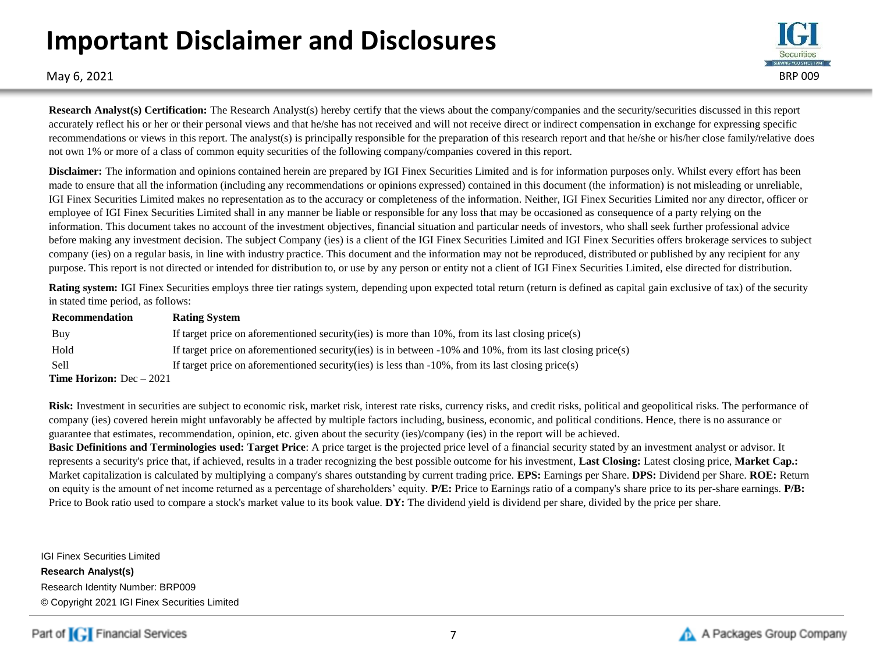# **Important Disclaimer and Disclosures**



May 6, 2021 BRP 009

**Research Analyst(s) Certification:** The Research Analyst(s) hereby certify that the views about the company/companies and the security/securities discussed in this report accurately reflect his or her or their personal views and that he/she has not received and will not receive direct or indirect compensation in exchange for expressing specific recommendations or views in this report. The analyst(s) is principally responsible for the preparation of this research report and that he/she or his/her close family/relative does not own 1% or more of a class of common equity securities of the following company/companies covered in this report.

**Disclaimer:** The information and opinions contained herein are prepared by IGI Finex Securities Limited and is for information purposes only. Whilst every effort has been made to ensure that all the information (including any recommendations or opinions expressed) contained in this document (the information) is not misleading or unreliable, IGI Finex Securities Limited makes no representation as to the accuracy or completeness of the information. Neither, IGI Finex Securities Limited nor any director, officer or employee of IGI Finex Securities Limited shall in any manner be liable or responsible for any loss that may be occasioned as consequence of a party relying on the information. This document takes no account of the investment objectives, financial situation and particular needs of investors, who shall seek further professional advice before making any investment decision. The subject Company (ies) is a client of the IGI Finex Securities Limited and IGI Finex Securities offers brokerage services to subject company (ies) on a regular basis, in line with industry practice. This document and the information may not be reproduced, distributed or published by any recipient for any purpose. This report is not directed or intended for distribution to, or use by any person or entity not a client of IGI Finex Securities Limited, else directed for distribution.

**Rating system:** IGI Finex Securities employs three tier ratings system, depending upon expected total return (return is defined as capital gain exclusive of tax) of the security in stated time period, as follows:

| Recommendation                    | <b>Rating System</b>                                                                                               |
|-----------------------------------|--------------------------------------------------------------------------------------------------------------------|
| Buy                               | If target price on aforementioned security (ies) is more than $10\%$ , from its last closing price(s)              |
| Hold                              | If target price on aforementioned security (ies) is in between $-10\%$ and $10\%$ , from its last closing price(s) |
| -Sell                             | If target price on aforementioned security (ies) is less than $-10\%$ , from its last closing price (s)            |
| <b>Time Horizon:</b> $Dec - 2021$ |                                                                                                                    |

Risk: Investment in securities are subject to economic risk, market risk, interest rate risks, currency risks, and credit risks, political and geopolitical risks. The performance of company (ies) covered herein might unfavorably be affected by multiple factors including, business, economic, and political conditions. Hence, there is no assurance or guarantee that estimates, recommendation, opinion, etc. given about the security (ies)/company (ies) in the report will be achieved.

**Basic Definitions and Terminologies used: Target Price**: A price target is the projected price level of a financial security stated by an investment analyst or advisor. It represents a security's price that, if achieved, results in a trader recognizing the best possible outcome for his investment, **Last Closing:** Latest closing price, **Market Cap.:**  Market capitalization is calculated by multiplying a company's shares outstanding by current trading price. **EPS:** Earnings per Share. **DPS:** Dividend per Share. **ROE:** Return on equity is the amount of net income returned as a percentage of shareholders' equity. **P/E:** Price to Earnings ratio of a company's share price to its per-share earnings. **P/B:** Price to Book ratio used to compare a stock's market value to its book value. **DY:** The dividend yield is dividend per share, divided by the price per share.

IGI Finex Securities Limited **Research Analyst(s)** Research Identity Number: BRP009 © Copyright 2021 IGI Finex Securities Limited